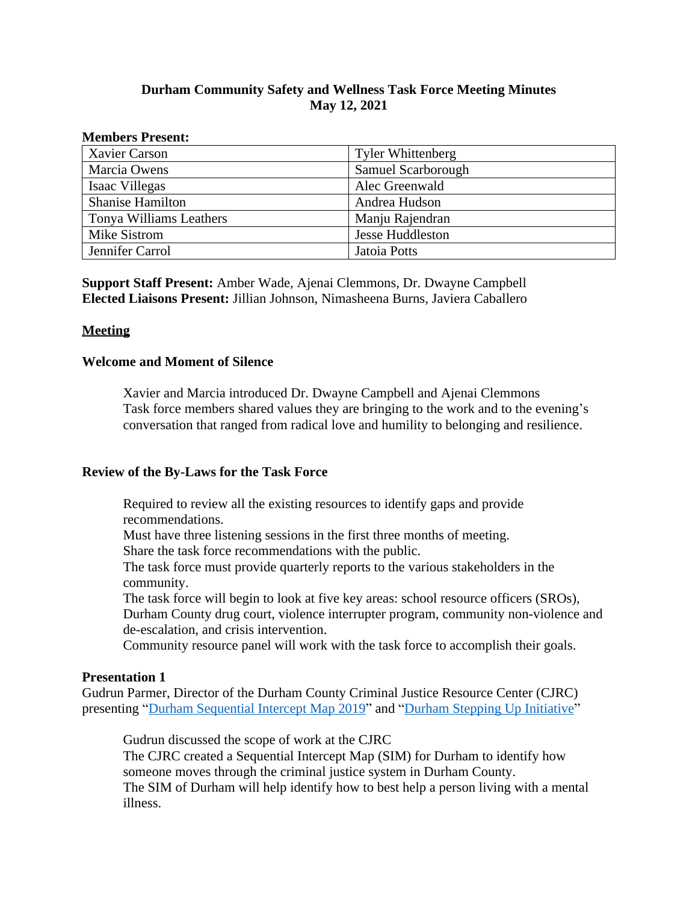# **Durham Community Safety and Wellness Task Force Meeting Minutes May 12, 2021**

#### **Members Present:**

| <b>Xavier Carson</b>    | <b>Tyler Whittenberg</b> |
|-------------------------|--------------------------|
| Marcia Owens            | Samuel Scarborough       |
| Isaac Villegas          | Alec Greenwald           |
| <b>Shanise Hamilton</b> | Andrea Hudson            |
| Tonya Williams Leathers | Manju Rajendran          |
| Mike Sistrom            | <b>Jesse Huddleston</b>  |
| Jennifer Carrol         | Jatoia Potts             |

**Support Staff Present:** Amber Wade, Ajenai Clemmons, Dr. Dwayne Campbell **Elected Liaisons Present:** Jillian Johnson, Nimasheena Burns, Javiera Caballero

### **Meeting**

### **Welcome and Moment of Silence**

Xavier and Marcia introduced Dr. Dwayne Campbell and Ajenai Clemmons Task force members shared values they are bringing to the work and to the evening's conversation that ranged from radical love and humility to belonging and resilience.

## **Review of the By-Laws for the Task Force**

Required to review all the existing resources to identify gaps and provide recommendations.

Must have three listening sessions in the first three months of meeting.

Share the task force recommendations with the public.

The task force must provide quarterly reports to the various stakeholders in the community.

The task force will begin to look at five key areas: school resource officers (SROs), Durham County drug court, violence interrupter program, community non-violence and de-escalation, and crisis intervention.

Community resource panel will work with the task force to accomplish their goals.

### **Presentation 1**

Gudrun Parmer, Director of the Durham County Criminal Justice Resource Center (CJRC) presenting "[Durham Sequential Intercept Map 2019](https://durhamnc.gov/DocumentCenter/View/38451/Durham-Sequential-Intercept-Map-2019?bidId=)" and "[Durham Stepping Up Initiative](https://durhamnc.gov/DocumentCenter/View/38486/Durham-Stepping-Up-Committee-Final-Report-PDF?bidId=)"

Gudrun discussed the scope of work at the CJRC

The CJRC created a Sequential Intercept Map (SIM) for Durham to identify how someone moves through the criminal justice system in Durham County. The SIM of Durham will help identify how to best help a person living with a mental illness.